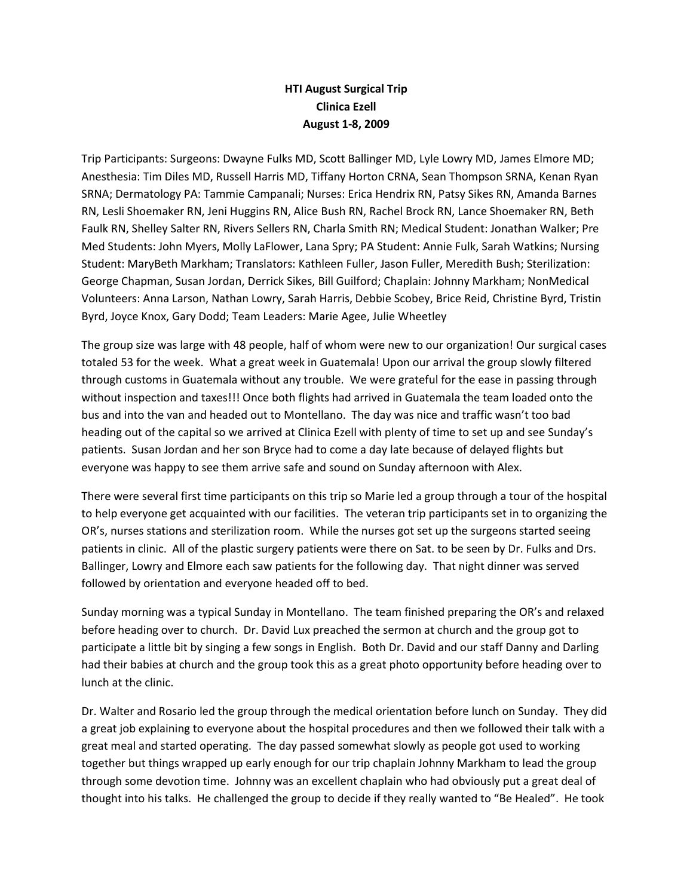## **HTI August Surgical Trip Clinica Ezell August 1-8, 2009**

Trip Participants: Surgeons: Dwayne Fulks MD, Scott Ballinger MD, Lyle Lowry MD, James Elmore MD; Anesthesia: Tim Diles MD, Russell Harris MD, Tiffany Horton CRNA, Sean Thompson SRNA, Kenan Ryan SRNA; Dermatology PA: Tammie Campanali; Nurses: Erica Hendrix RN, Patsy Sikes RN, Amanda Barnes RN, Lesli Shoemaker RN, Jeni Huggins RN, Alice Bush RN, Rachel Brock RN, Lance Shoemaker RN, Beth Faulk RN, Shelley Salter RN, Rivers Sellers RN, Charla Smith RN; Medical Student: Jonathan Walker; Pre Med Students: John Myers, Molly LaFlower, Lana Spry; PA Student: Annie Fulk, Sarah Watkins; Nursing Student: MaryBeth Markham; Translators: Kathleen Fuller, Jason Fuller, Meredith Bush; Sterilization: George Chapman, Susan Jordan, Derrick Sikes, Bill Guilford; Chaplain: Johnny Markham; NonMedical Volunteers: Anna Larson, Nathan Lowry, Sarah Harris, Debbie Scobey, Brice Reid, Christine Byrd, Tristin Byrd, Joyce Knox, Gary Dodd; Team Leaders: Marie Agee, Julie Wheetley

The group size was large with 48 people, half of whom were new to our organization! Our surgical cases totaled 53 for the week. What a great week in Guatemala! Upon our arrival the group slowly filtered through customs in Guatemala without any trouble. We were grateful for the ease in passing through without inspection and taxes!!! Once both flights had arrived in Guatemala the team loaded onto the bus and into the van and headed out to Montellano. The day was nice and traffic wasn't too bad heading out of the capital so we arrived at Clinica Ezell with plenty of time to set up and see Sunday's patients. Susan Jordan and her son Bryce had to come a day late because of delayed flights but everyone was happy to see them arrive safe and sound on Sunday afternoon with Alex.

There were several first time participants on this trip so Marie led a group through a tour of the hospital to help everyone get acquainted with our facilities. The veteran trip participants set in to organizing the OR's, nurses stations and sterilization room. While the nurses got set up the surgeons started seeing patients in clinic. All of the plastic surgery patients were there on Sat. to be seen by Dr. Fulks and Drs. Ballinger, Lowry and Elmore each saw patients for the following day. That night dinner was served followed by orientation and everyone headed off to bed.

Sunday morning was a typical Sunday in Montellano. The team finished preparing the OR's and relaxed before heading over to church. Dr. David Lux preached the sermon at church and the group got to participate a little bit by singing a few songs in English. Both Dr. David and our staff Danny and Darling had their babies at church and the group took this as a great photo opportunity before heading over to lunch at the clinic.

Dr. Walter and Rosario led the group through the medical orientation before lunch on Sunday. They did a great job explaining to everyone about the hospital procedures and then we followed their talk with a great meal and started operating. The day passed somewhat slowly as people got used to working together but things wrapped up early enough for our trip chaplain Johnny Markham to lead the group through some devotion time. Johnny was an excellent chaplain who had obviously put a great deal of thought into his talks. He challenged the group to decide if they really wanted to "Be Healed". He took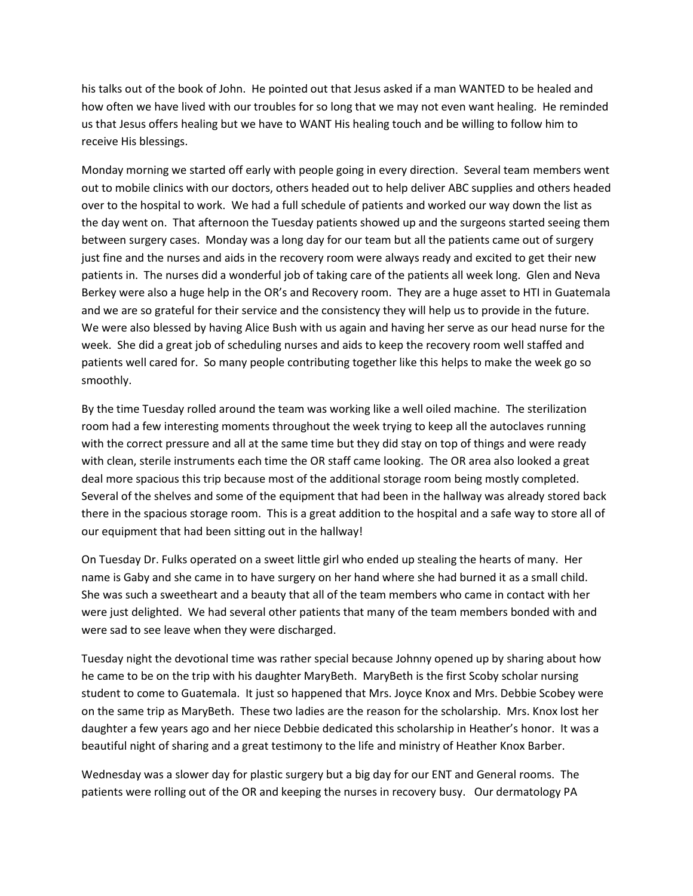his talks out of the book of John. He pointed out that Jesus asked if a man WANTED to be healed and how often we have lived with our troubles for so long that we may not even want healing. He reminded us that Jesus offers healing but we have to WANT His healing touch and be willing to follow him to receive His blessings.

Monday morning we started off early with people going in every direction. Several team members went out to mobile clinics with our doctors, others headed out to help deliver ABC supplies and others headed over to the hospital to work. We had a full schedule of patients and worked our way down the list as the day went on. That afternoon the Tuesday patients showed up and the surgeons started seeing them between surgery cases. Monday was a long day for our team but all the patients came out of surgery just fine and the nurses and aids in the recovery room were always ready and excited to get their new patients in. The nurses did a wonderful job of taking care of the patients all week long. Glen and Neva Berkey were also a huge help in the OR's and Recovery room. They are a huge asset to HTI in Guatemala and we are so grateful for their service and the consistency they will help us to provide in the future. We were also blessed by having Alice Bush with us again and having her serve as our head nurse for the week. She did a great job of scheduling nurses and aids to keep the recovery room well staffed and patients well cared for. So many people contributing together like this helps to make the week go so smoothly.

By the time Tuesday rolled around the team was working like a well oiled machine. The sterilization room had a few interesting moments throughout the week trying to keep all the autoclaves running with the correct pressure and all at the same time but they did stay on top of things and were ready with clean, sterile instruments each time the OR staff came looking. The OR area also looked a great deal more spacious this trip because most of the additional storage room being mostly completed. Several of the shelves and some of the equipment that had been in the hallway was already stored back there in the spacious storage room. This is a great addition to the hospital and a safe way to store all of our equipment that had been sitting out in the hallway!

On Tuesday Dr. Fulks operated on a sweet little girl who ended up stealing the hearts of many. Her name is Gaby and she came in to have surgery on her hand where she had burned it as a small child. She was such a sweetheart and a beauty that all of the team members who came in contact with her were just delighted. We had several other patients that many of the team members bonded with and were sad to see leave when they were discharged.

Tuesday night the devotional time was rather special because Johnny opened up by sharing about how he came to be on the trip with his daughter MaryBeth. MaryBeth is the first Scoby scholar nursing student to come to Guatemala. It just so happened that Mrs. Joyce Knox and Mrs. Debbie Scobey were on the same trip as MaryBeth. These two ladies are the reason for the scholarship. Mrs. Knox lost her daughter a few years ago and her niece Debbie dedicated this scholarship in Heather's honor. It was a beautiful night of sharing and a great testimony to the life and ministry of Heather Knox Barber.

Wednesday was a slower day for plastic surgery but a big day for our ENT and General rooms. The patients were rolling out of the OR and keeping the nurses in recovery busy. Our dermatology PA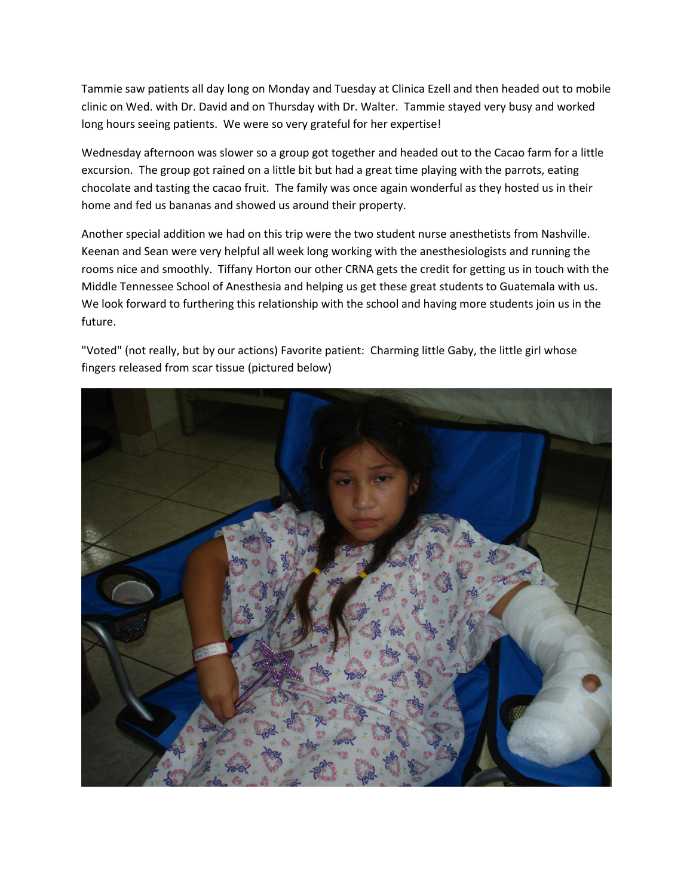Tammie saw patients all day long on Monday and Tuesday at Clinica Ezell and then headed out to mobile clinic on Wed. with Dr. David and on Thursday with Dr. Walter. Tammie stayed very busy and worked long hours seeing patients. We were so very grateful for her expertise!

Wednesday afternoon was slower so a group got together and headed out to the Cacao farm for a little excursion. The group got rained on a little bit but had a great time playing with the parrots, eating chocolate and tasting the cacao fruit. The family was once again wonderful as they hosted us in their home and fed us bananas and showed us around their property.

Another special addition we had on this trip were the two student nurse anesthetists from Nashville. Keenan and Sean were very helpful all week long working with the anesthesiologists and running the rooms nice and smoothly. Tiffany Horton our other CRNA gets the credit for getting us in touch with the Middle Tennessee School of Anesthesia and helping us get these great students to Guatemala with us. We look forward to furthering this relationship with the school and having more students join us in the future.

"Voted" (not really, but by our actions) Favorite patient: Charming little Gaby, the little girl whose fingers released from scar tissue (pictured below)

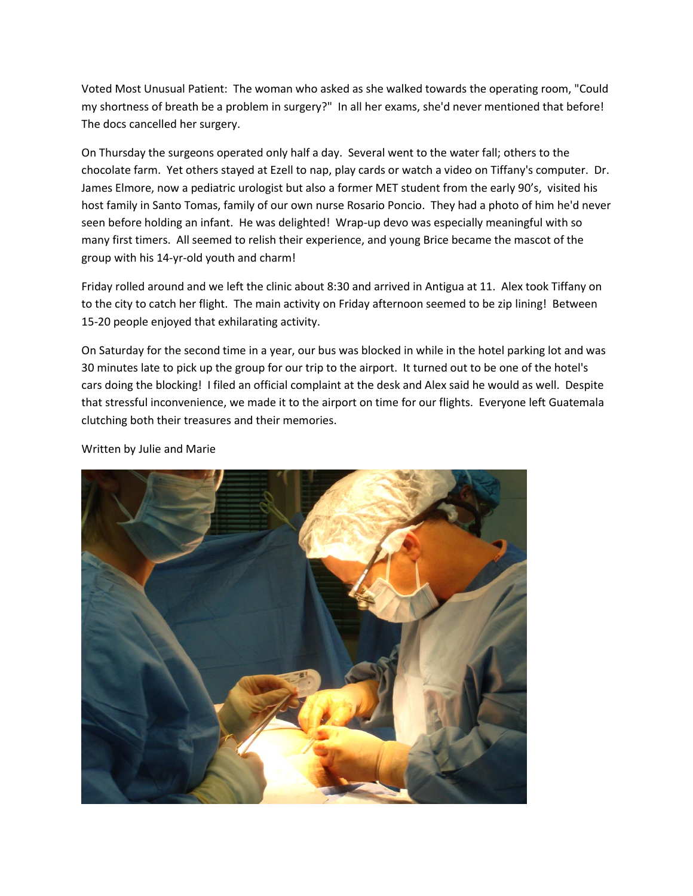Voted Most Unusual Patient: The woman who asked as she walked towards the operating room, "Could my shortness of breath be a problem in surgery?" In all her exams, she'd never mentioned that before! The docs cancelled her surgery.

On Thursday the surgeons operated only half a day. Several went to the water fall; others to the chocolate farm. Yet others stayed at Ezell to nap, play cards or watch a video on Tiffany's computer. Dr. James Elmore, now a pediatric urologist but also a former MET student from the early 90's, visited his host family in Santo Tomas, family of our own nurse Rosario Poncio. They had a photo of him he'd never seen before holding an infant. He was delighted! Wrap-up devo was especially meaningful with so many first timers. All seemed to relish their experience, and young Brice became the mascot of the group with his 14-yr-old youth and charm!

Friday rolled around and we left the clinic about 8:30 and arrived in Antigua at 11. Alex took Tiffany on to the city to catch her flight. The main activity on Friday afternoon seemed to be zip lining! Between 15-20 people enjoyed that exhilarating activity.

On Saturday for the second time in a year, our bus was blocked in while in the hotel parking lot and was 30 minutes late to pick up the group for our trip to the airport. It turned out to be one of the hotel's cars doing the blocking! I filed an official complaint at the desk and Alex said he would as well. Despite that stressful inconvenience, we made it to the airport on time for our flights. Everyone left Guatemala clutching both their treasures and their memories.



Written by Julie and Marie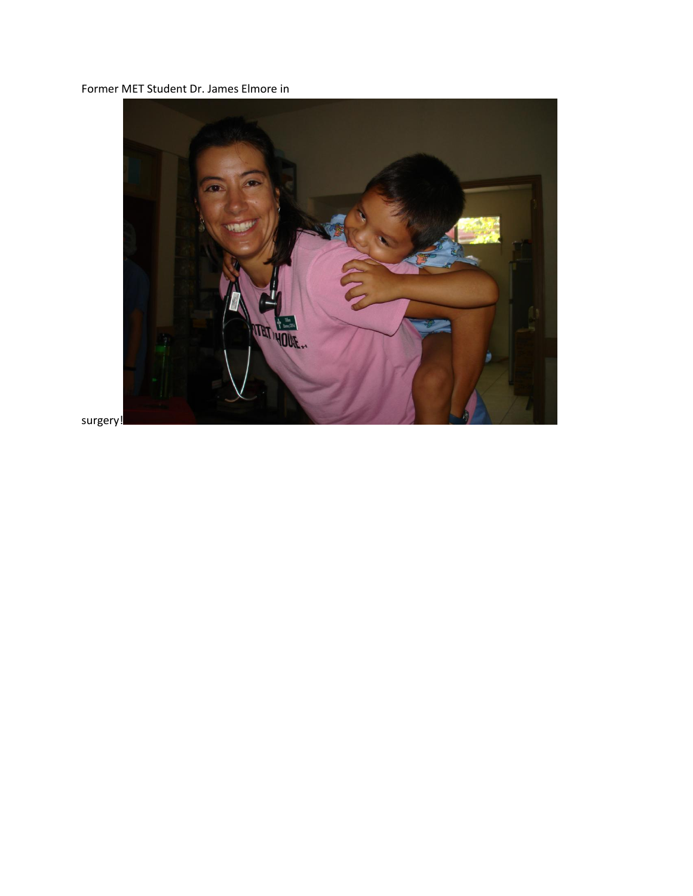Former MET Student Dr. James Elmore in



surgery!